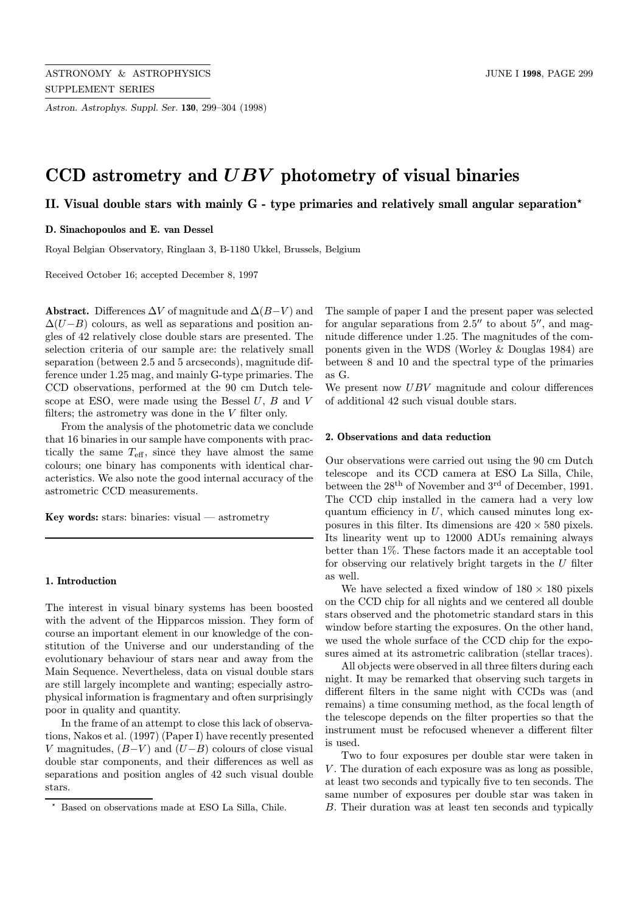Astron. Astrophys. Suppl. Ser. 130, 299–304 (1998)

# CCD astrometry and UBV photometry of visual binaries

II. Visual double stars with mainly  $G$  - type primaries and relatively small angular separation<sup>\*</sup>

## D. Sinachopoulos and E. van Dessel

Royal Belgian Observatory, Ringlaan 3, B-1180 Ukkel, Brussels, Belgium

Received October 16; accepted December 8, 1997

Abstract. Differences  $\Delta V$  of magnitude and  $\Delta (B-V)$  and  $\Delta(U-B)$  colours, as well as separations and position angles of 42 relatively close double stars are presented. The selection criteria of our sample are: the relatively small separation (between 2.5 and 5 arcseconds), magnitude difference under 1.25 mag, and mainly G-type primaries. The CCD observations, performed at the 90 cm Dutch telescope at ESO, were made using the Bessel  $U, B$  and  $V$ filters; the astrometry was done in the  $V$  filter only.

From the analysis of the photometric data we conclude that 16 binaries in our sample have components with practically the same  $T_{\text{eff}}$ , since they have almost the same colours; one binary has components with identical characteristics. We also note the good internal accuracy of the astrometric CCD measurements.

Key words: stars: binaries: visual  $-$  astrometry

#### 1. Introduction

The interest in visual binary systems has been boosted with the advent of the Hipparcos mission. They form of course an important element in our knowledge of the constitution of the Universe and our understanding of the evolutionary behaviour of stars near and away from the Main Sequence. Nevertheless, data on visual double stars are still largely incomplete and wanting; especially astrophysical information is fragmentary and often surprisingly poor in quality and quantity.

In the frame of an attempt to close this lack of observations, Nakos et al. (1997) (Paper I) have recently presented V magnitudes,  $(B-V)$  and  $(U-B)$  colours of close visual double star components, and their differences as well as separations and position angles of 42 such visual double stars.

The sample of paper I and the present paper was selected for angular separations from  $2.5$ <sup>"</sup> to about  $5$ ", and magnitude difference under 1.25. The magnitudes of the components given in the WDS (Worley & Douglas 1984) are between 8 and 10 and the spectral type of the primaries as G.

We present now  $UBV$  magnitude and colour differences of additional 42 such visual double stars.

#### 2. Observations and data reduction

Our observations were carried out using the 90 cm Dutch telescope and its CCD camera at ESO La Silla, Chile, between the  $28<sup>th</sup>$  of November and 3<sup>rd</sup> of December, 1991. The CCD chip installed in the camera had a very low quantum efficiency in  $U$ , which caused minutes long exposures in this filter. Its dimensions are  $420 \times 580$  pixels. Its linearity went up to 12000 ADUs remaining always better than 1%. These factors made it an acceptable tool for observing our relatively bright targets in the  $U$  filter as well.

We have selected a fixed window of  $180 \times 180$  pixels on the CCD chip for all nights and we centered all double stars observed and the photometric standard stars in this window before starting the exposures. On the other hand, we used the whole surface of the CCD chip for the exposures aimed at its astrometric calibration (stellar traces).

All objects were observed in all three filters during each night. It may be remarked that observing such targets in different filters in the same night with CCDs was (and remains) a time consuming method, as the focal length of the telescope depends on the filter properties so that the instrument must be refocused whenever a different filter is used.

Two to four exposures per double star were taken in V. The duration of each exposure was as long as possible, at least two seconds and typically five to ten seconds. The same number of exposures per double star was taken in B. Their duration was at least ten seconds and typically

<sup>?</sup> Based on observations made at ESO La Silla, Chile.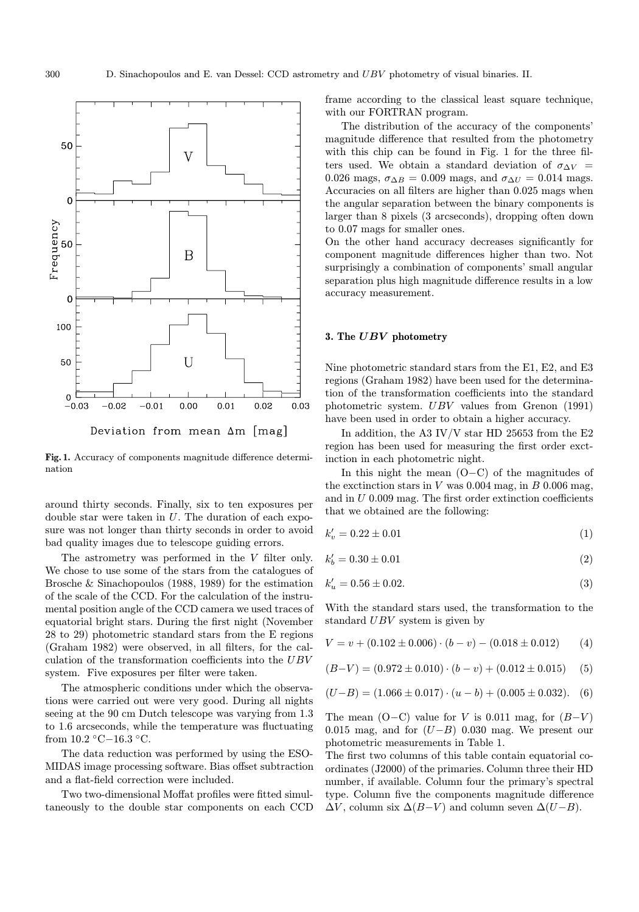

Fig. 1. Accuracy of components magnitude difference determination

around thirty seconds. Finally, six to ten exposures per double star were taken in  $U$ . The duration of each exposure was not longer than thirty seconds in order to avoid bad quality images due to telescope guiding errors.

The astrometry was performed in the  $V$  filter only. We chose to use some of the stars from the catalogues of Brosche & Sinachopoulos (1988, 1989) for the estimation of the scale of the CCD. For the calculation of the instrumental position angle of the CCD camera we used traces of equatorial bright stars. During the first night (November 28 to 29) photometric standard stars from the E regions (Graham 1982) were observed, in all filters, for the calculation of the transformation coefficients into the UBV system. Five exposures per filter were taken.

The atmospheric conditions under which the observations were carried out were very good. During all nights seeing at the 90 cm Dutch telescope was varying from 1.3 to 1.6 arcseconds, while the temperature was fluctuating from 10.2 ◦C−16.3 ◦C.

The data reduction was performed by using the ESO-MIDAS image processing software. Bias offset subtraction and a flat-field correction were included.

Two two-dimensional Moffat profiles were fitted simultaneously to the double star components on each CCD frame according to the classical least square technique, with our FORTRAN program.

The distribution of the accuracy of the components' magnitude difference that resulted from the photometry with this chip can be found in Fig. 1 for the three filters used. We obtain a standard deviation of  $\sigma_{\Delta V}$  = 0.026 mags,  $\sigma_{\Delta B} = 0.009$  mags, and  $\sigma_{\Delta U} = 0.014$  mags. Accuracies on all filters are higher than 0.025 mags when the angular separation between the binary components is larger than 8 pixels (3 arcseconds), dropping often down to 0.07 mags for smaller ones.

On the other hand accuracy decreases significantly for component magnitude differences higher than two. Not surprisingly a combination of components' small angular separation plus high magnitude difference results in a low accuracy measurement.

## 3. The UBV photometry

Nine photometric standard stars from the E1, E2, and E3 regions (Graham 1982) have been used for the determination of the transformation coefficients into the standard photometric system. UBV values from Grenon (1991) have been used in order to obtain a higher accuracy.

In addition, the A3 IV/V star HD 25653 from the  $E2$ region has been used for measuring the first order exctinction in each photometric night.

In this night the mean (O−C) of the magnitudes of the exctinction stars in  $V$  was 0.004 mag, in  $B$  0.006 mag, and in U 0.009 mag. The first order extinction coefficients that we obtained are the following:

$$
k'_v = 0.22 \pm 0.01\tag{1}
$$

$$
k'_b = 0.30 \pm 0.01\tag{2}
$$

$$
k'_u = 0.56 \pm 0.02. \tag{3}
$$

With the standard stars used, the transformation to the standard UBV system is given by

$$
V = v + (0.102 \pm 0.006) \cdot (b - v) - (0.018 \pm 0.012) \tag{4}
$$

$$
(B-V) = (0.972 \pm 0.010) \cdot (b - v) + (0.012 \pm 0.015) \quad (5)
$$

$$
(U-B) = (1.066 \pm 0.017) \cdot (u-b) + (0.005 \pm 0.032). \quad (6)
$$

The mean  $(O-C)$  value for V is 0.011 mag, for  $(B-V)$ 0.015 mag, and for  $(U-B)$  0.030 mag. We present our photometric measurements in Table 1.

The first two columns of this table contain equatorial coordinates (J2000) of the primaries. Column three their HD number, if available. Column four the primary's spectral type. Column five the components magnitude difference  $\Delta V$ , column six  $\Delta (B-V)$  and column seven  $\Delta (U-B)$ .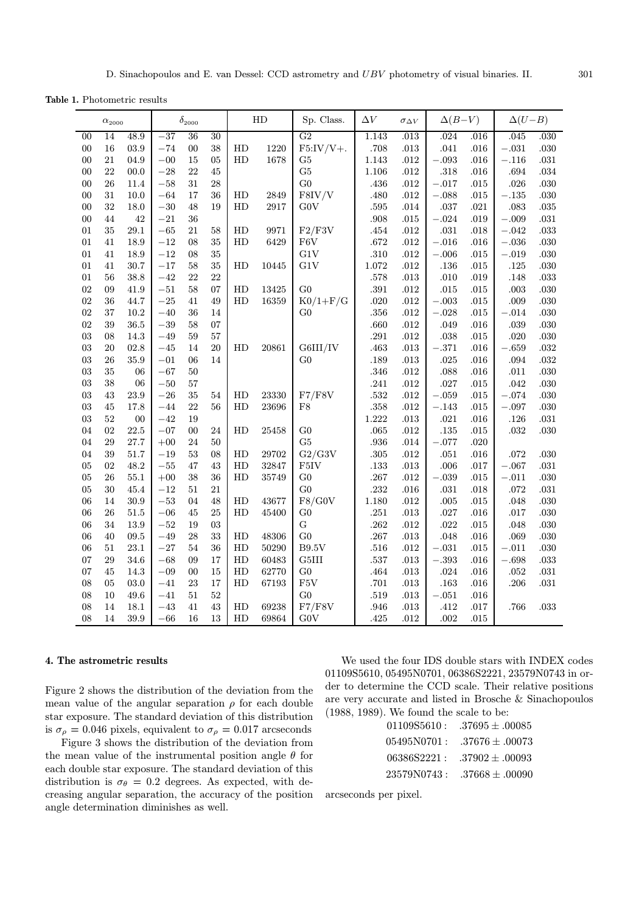Table 1. Photometric results

| $\alpha_{2000}$ |    | $\delta_{\rm 2000}$ |         | ${\rm HD}$  |    | Sp. Class. | $\Delta V$ | $\sigma_{\Delta V}$ | $\Delta(B-V)$ |          | $\Delta(U-B)$ |          |           |          |
|-----------------|----|---------------------|---------|-------------|----|------------|------------|---------------------|---------------|----------|---------------|----------|-----------|----------|
| 00              | 14 | 48.9                | $-37$   | 36          | 30 |            |            | G <sub>2</sub>      | 1.143         | .013     | .024          | .016     | .045      | .030     |
| $00\,$          | 16 | $03.9\,$            | $-74$   | $00\,$      | 38 | HD         | 1220       | $F5:IV/V+.$         | .708          | $.013\,$ | .041          | .016     | $-.031$   | $.030\,$ |
| $00\,$          | 21 | 04.9                | $-00$   | $15\,$      | 05 | HD         | 1678       | G5                  | 1.143         | .012     | $-.093$       | $.016\,$ | $-.116$   | $.031\,$ |
| $00\,$          | 22 | 00.0                | $-28\,$ | 22          | 45 |            |            | G5                  | 1.106         | $.012\,$ | $.318\,$      | $.016\,$ | $.694\,$  | $.034\,$ |
| $00\,$          | 26 | 11.4                | $-58\,$ | 31          | 28 |            |            | G <sub>0</sub>      | .436          | .012     | $-.017$       | .015     | .026      | $.030\,$ |
| 00              | 31 | $10.0\,$            | $-64$   | $17\,$      | 36 | HD         | 2849       | F8IV/V              | .480          | .012     | $-.088$       | $.015\,$ | $-.135\,$ | $.030\,$ |
| $00\,$          | 32 | 18.0                | $-30\,$ | 48          | 19 | HD         | 2917       | G0V                 | $.595\,$      | $.014\,$ | $.037\,$      | $.021\,$ | $.083\,$  | $.035\,$ |
| ${\bf 00}$      | 44 | $42\,$              | $-21\,$ | 36          |    |            |            |                     | .908          | $.015\,$ | $-.024\,$     | $.019$   | $-.009$   | $.031\,$ |
| 01              | 35 | $29.1\,$            | $-65$   | 21          | 58 | HD         | 9971       | F2/F3V              | $.454\,$      | $.012\,$ | .031          | $.018\,$ | $-.042$   | $.033\,$ |
| 01              | 41 | 18.9                | $-12\,$ | 08          | 35 | HD         | 6429       | ${\rm F6V}$         | $.672\,$      | .012     | $-.016\,$     | $.016\,$ | $-.036\,$ | $.030\,$ |
| 01              | 41 | 18.9                | $-12$   | $08\,$      | 35 |            |            | G1V                 | .310          | .012     | $-.006$       | $.015\,$ | $-.019$   | $.030\,$ |
| 01              | 41 | 30.7                | $-17$   | 58          | 35 | HD         | 10445      | G1V                 | $1.072\,$     | .012     | $.136\,$      | .015     | $.125\,$  | $.030\,$ |
| 01              | 56 | 38.8                | $-42$   | 22          | 22 |            |            |                     | .578          | .013     | .010          | .019     | $.148\,$  | $.033\,$ |
| $02\,$          | 09 | 41.9                | $-51\,$ | 58          | 07 | HD         | 13425      | G <sub>0</sub>      | $.391\,$      | .012     | $.015\,$      | .015     | $.003$    | $.030\,$ |
| 02              | 36 | 44.7                | $-25\,$ | 41          | 49 | HD         | 16359      | $K0/1+F/G$          | .020          | .012     | $-.003$       | .015     | .009      | $.030\,$ |
| $02\,$          | 37 | 10.2                | $-40$   | 36          | 14 |            |            | G <sub>0</sub>      | $.356\,$      | .012     | $-.028$       | $.015\,$ | $-.014$   | $.030\,$ |
| $02\,$          | 39 | $36.5\,$            | $-39\,$ | 58          | 07 |            |            |                     | .660          | .012     | .049          | $.016\,$ | .039      | $.030\,$ |
| $03\,$          | 08 | 14.3                | $-49\,$ | 59          | 57 |            |            |                     | $.291\,$      | .012     | .038          | $.015\,$ | $.020\,$  | $.030\,$ |
| $03\,$          | 20 | 02.8                | $-45$   | 14          | 20 | HD         | 20861      | G6III/IV            | .463          | .013     | $-.371$       | .016     | $-.659$   | $.032\,$ |
| $03\,$          | 26 | 35.9                | $\!-01$ | 06          | 14 |            |            | G <sub>0</sub>      | .189          | .013     | .025          | .016     | .094      | $.032\,$ |
| $03\,$          | 35 | 06                  | $-67\,$ | $50\,$      |    |            |            |                     | .346          | .012     | .088          | $.016\,$ | .011      | $.030\,$ |
| $03\,$          | 38 | 06                  | $-50\,$ | 57          |    |            |            |                     | .241          | .012     | .027          | $.015\,$ | .042      | $.030\,$ |
| $03\,$          | 43 | $23.9\,$            | $-26\,$ | 35          | 54 | HD         | 23330      | F7/F8V              | $.532\,$      | $.012\,$ | $-.059\,$     | $.015\,$ | $-.074$   | $.030\,$ |
| $03\,$          | 45 | 17.8                | $-44\,$ | 22          | 56 | HD         | 23696      | ${\rm F}8$          | $.358\,$      | $.012\,$ | $-.143$       | $.015\,$ | $-.097$   | $.030\,$ |
| $03\,$          | 52 | $00\,$              | $-42$   | 19          |    |            |            |                     | $1.222\,$     | .013     | $.021\,$      | $.016\,$ | $.126\,$  | $.031\,$ |
| $04\,$          | 02 | 22.5                | $-07$   | $00\,$      | 24 | HD         | 25458      | G <sub>0</sub>      | .065          | .012     | $.135\,$      | $.015\,$ | $.032\,$  | $.030\,$ |
| $04\,$          | 29 | 27.7                | $+00$   | $\sqrt{24}$ | 50 |            |            | G5                  | .936          | $.014\,$ | $-.077$       | $.020\,$ |           |          |
| $04\,$          | 39 | $51.7\,$            | $-19\,$ | $53\,$      | 08 | HD         | 29702      | G2/G3V              | .305          | .012     | .051          | .016     | $.072\,$  | $.030\,$ |
| 05              | 02 | 48.2                | $-55\,$ | $47\,$      | 43 | HD         | 32847      | F5IV                | .133          | .013     | .006          | .017     | $-.067$   | $.031\,$ |
| $05\,$          | 26 | $55.1\,$            | $+00$   | 38          | 36 | HD         | 35749      | $\rm G0$            | .267          | .012     | $-.039\,$     | .015     | $-.011$   | $.030\,$ |
| $05\,$          | 30 | 45.4                | $-12$   | $51\,$      | 21 |            |            | G <sub>0</sub>      | .232          | .016     | $.031\,$      | .018     | $.072\,$  | $.031\,$ |
| 06              | 14 | $30.9\,$            | $\!-53$ | $04\,$      | 48 | HD         | 43677      | F8/G0V              | $1.180\,$     | .012     | .005          | $.015\,$ | $.048\,$  | $.030\,$ |
| 06              | 26 | 51.5                | $\!-06$ | 45          | 25 | HD         | 45400      | G <sub>0</sub>      | .251          | .013     | $.027\,$      | .016     | $.017\,$  | $.030\,$ |
| $06\,$          | 34 | 13.9                | $-52\,$ | 19          | 03 |            |            | ${\bf G}$           | $.262\,$      | .012     | $.022\,$      | $.015\,$ | .048      | $.030\,$ |
| 06              | 40 | $\rm 09.5$          | $-49$   | 28          | 33 | HD         | 48306      | G <sub>0</sub>      | .267          | .013     | .048          | .016     | .069      | $.030\,$ |
| 06              | 51 | 23.1                | $-27\,$ | 54          | 36 | HD         | 50290      | B9.5V               | .516          | .012     | $-.031$       | .015     | $-.011$   | .030     |
| 07              | 29 | 34.6                | $-68\,$ | 09          | 17 | HD         | 60483      | G5III               | .537          | $.013\,$ | $-.393$       | $.016\,$ | $-.698$   | $.033\,$ |
| 07              | 45 | 14.3                | $-09$   | $00\,$      | 15 | HD         | 62770      | G <sub>0</sub>      | .464          | $.013\,$ | $.024\,$      | .016     | .052      | $.031\,$ |
| 08              | 05 | 03.0                | $-41$   | 23          | 17 | HD         | 67193      | ${\rm F5V}$         | .701          | .013     | .163          | .016     | .206      | $.031\,$ |
| ${\bf 08}$      | 10 | 49.6                | $-41$   | $51\,$      | 52 |            |            | G <sub>0</sub>      | $.519\,$      | $.013\,$ | $-.051$       | .016     |           |          |
| ${\bf 08}$      | 14 | $18.1\,$            | $-43\,$ | $41\,$      | 43 | HD         | 69238      | F7/F8V              | .946          | $.013\,$ | $.412\,$      | $.017$   | .766      | $.033\,$ |
| 08              | 14 | $39.9\,$            | $-66\,$ | $16\,$      | 13 | HD         | 69864      | G0V                 | .425          | $.012\,$ | .002          | $.015\,$ |           |          |

## 4. The astrometric results

Figure 2 shows the distribution of the deviation from the mean value of the angular separation  $\rho$  for each double star exposure. The standard deviation of this distribution is  $\sigma_{\rho} = 0.046$  pixels, equivalent to  $\sigma_{\rho} = 0.017$  arcseconds

Figure 3 shows the distribution of the deviation from the mean value of the instrumental position angle  $\theta$  for each double star exposure. The standard deviation of this distribution is  $\sigma_{\theta} = 0.2$  degrees. As expected, with decreasing angular separation, the accuracy of the position angle determination diminishes as well.

We used the four IDS double stars with INDEX codes 01109S5610, 05495N0701, 06386S2221, 23579N0743 in order to determine the CCD scale. Their relative positions are very accurate and listed in Brosche & Sinachopoulos (1988, 1989). We found the scale to be:

| 01109S5610: | $.37695 + .00085$   |
|-------------|---------------------|
| 05495N0701: | $.37676 \pm .00073$ |
| 06386S2221: | $.37902 + .00093$   |
| 23579N0743: | $.37668 \pm .00090$ |

arcseconds per pixel.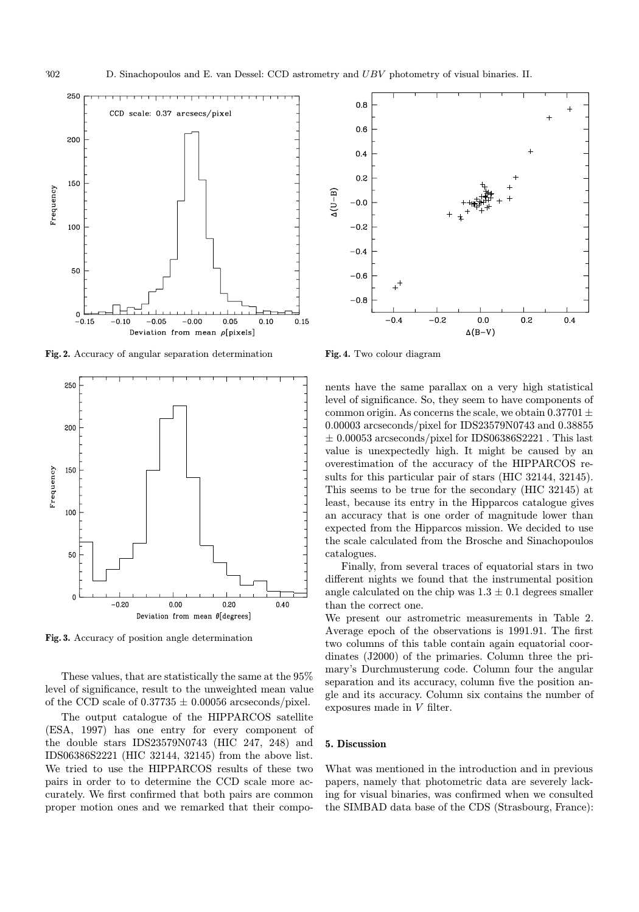

Fig. 2. Accuracy of angular separation determination



Fig. 3. Accuracy of position angle determination

These values, that are statistically the same at the 95% level of significance, result to the unweighted mean value of the CCD scale of  $0.37735 \pm 0.00056$  arcseconds/pixel.

The output catalogue of the HIPPARCOS satellite (ESA, 1997) has one entry for every component of the double stars IDS23579N0743 (HIC 247, 248) and IDS06386S2221 (HIC 32144, 32145) from the above list. We tried to use the HIPPARCOS results of these two pairs in order to to determine the CCD scale more accurately. We first confirmed that both pairs are common proper motion ones and we remarked that their compo-

Fig. 4. Two colour diagram

nents have the same parallax on a very high statistical level of significance. So, they seem to have components of common origin. As concerns the scale, we obtain  $0.37701 \pm$ 0.00003 arcseconds/pixel for IDS23579N0743 and 0.38855  $\pm$  0.00053 arcseconds/pixel for IDS06386S2221. This last value is unexpectedly high. It might be caused by an overestimation of the accuracy of the HIPPARCOS results for this particular pair of stars (HIC 32144, 32145). This seems to be true for the secondary (HIC 32145) at least, because its entry in the Hipparcos catalogue gives an accuracy that is one order of magnitude lower than expected from the Hipparcos mission. We decided to use the scale calculated from the Brosche and Sinachopoulos catalogues.

Finally, from several traces of equatorial stars in two different nights we found that the instrumental position angle calculated on the chip was  $1.3 \pm 0.1$  degrees smaller than the correct one.

We present our astrometric measurements in Table 2. Average epoch of the observations is 1991.91. The first two columns of this table contain again equatorial coordinates (J2000) of the primaries. Column three the primary's Durchmusterung code. Column four the angular separation and its accuracy, column five the position angle and its accuracy. Column six contains the number of exposures made in V filter.

#### 5. Discussion

What was mentioned in the introduction and in previous papers, namely that photometric data are severely lacking for visual binaries, was confirmed when we consulted the SIMBAD data base of the CDS (Strasbourg, France):



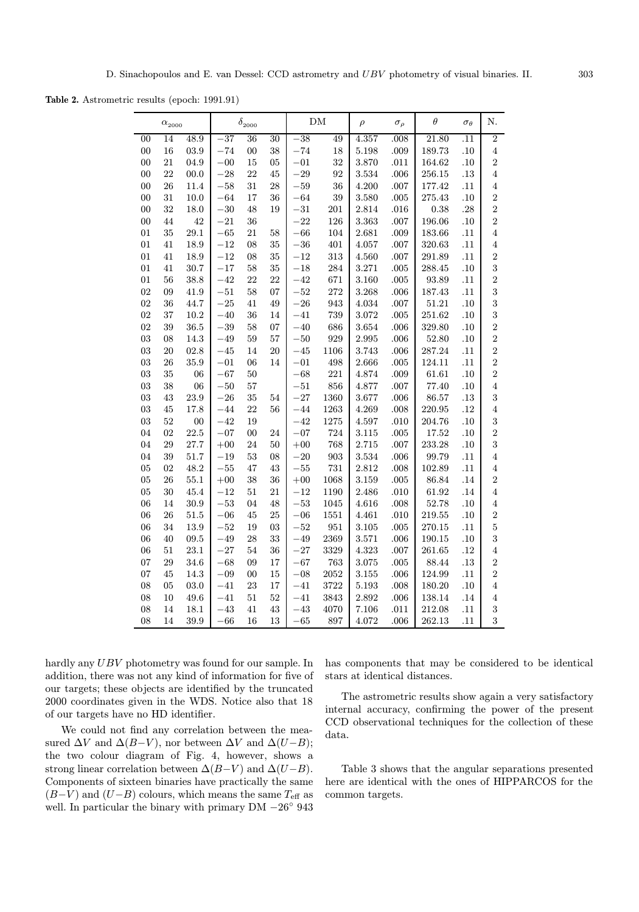Table 2. Astrometric results (epoch: 1991.91)

| $\alpha_{2000}$ |    |          | $\delta_{\rm 2000}$ |        |    | DM       |      | $\rho$ | $\sigma_{\rho}$ | $\theta$  | $\sigma_{\theta}$ | N.               |
|-----------------|----|----------|---------------------|--------|----|----------|------|--------|-----------------|-----------|-------------------|------------------|
| 00              | 14 | 48.9     | $-37$               | 36     | 30 | $-38$    | 49   | 4.357  | .008            | 21.80     | $\overline{.11}$  | $\overline{2}$   |
| 00              | 16 | 03.9     | $-74$               | 00     | 38 | $-74$    | 18   | 5.198  | .009            | 189.73    | .10               | $\boldsymbol{4}$ |
| 00              | 21 | 04.9     | $-00$               | 15     | 05 | $-01$    | 32   | 3.870  | .011            | 164.62    | .10               | $\overline{2}$   |
| 00              | 22 | 00.0     | $-28$               | 22     | 45 | $-29$    | 92   | 3.534  | .006            | 256.15    | $.13\,$           | $\overline{4}$   |
| 00              | 26 | 11.4     | $-58$               | 31     | 28 | $-59$    | 36   | 4.200  | .007            | 177.42    | .11               | $\overline{4}$   |
| 00              | 31 | 10.0     | $-64$               | 17     | 36 | $-64$    | 39   | 3.580  | .005            | 275.43    | .10               | $\sqrt{2}$       |
| 00              | 32 | 18.0     | $-30$               | 48     | 19 | $-31$    | 201  | 2.814  | .016            | 0.38      | .28               | $\overline{2}$   |
| $00\,$          | 44 | 42       | $-21$               | 36     |    | $-22$    | 126  | 3.363  | .007            | 196.06    | .10               | $\overline{2}$   |
| 01              | 35 | 29.1     | $-65$               | 21     | 58 | $-66$    | 104  | 2.681  | .009            | 183.66    | .11               | $\overline{4}$   |
| 01              | 41 | 18.9     | $-12$               | 08     | 35 | $-36$    | 401  | 4.057  | .007            | 320.63    | .11               | $\,4\,$          |
| 01              | 41 | 18.9     | $-12$               | 08     | 35 | $-12$    | 313  | 4.560  | .007            | 291.89    | .11               | $\overline{2}$   |
| 01              | 41 | 30.7     | $-17$               | 58     | 35 | $-18$    | 284  | 3.271  | .005            | 288.45    | .10               | 3                |
| 01              | 56 | 38.8     | $-42$               | 22     | 22 | $-42$    | 671  | 3.160  | .005            | 93.89     | .11               | $\overline{2}$   |
| 02              | 09 | 41.9     | $-51$               | 58     | 07 | $-52$    | 272  | 3.268  | .006            | 187.43    | .11               | 3                |
| 02              | 36 | 44.7     | $-25$               | 41     | 49 | $-26$    | 943  | 4.034  | .007            | 51.21     | .10               | 3                |
| 02              | 37 | 10.2     | $-40$               | 36     | 14 | $-41$    | 739  | 3.072  | .005            | 251.62    | .10               | 3                |
| 02              | 39 | 36.5     | $-39$               | 58     | 07 | $-40$    | 686  | 3.654  | .006            | 329.80    | .10               | $\overline{2}$   |
| 03              | 08 | 14.3     | $-49$               | 59     | 57 | $-50$    | 929  | 2.995  | .006            | 52.80     | .10               | $\overline{2}$   |
| 03              | 20 | 02.8     | $-45$               | 14     | 20 | $-45$    | 1106 | 3.743  | .006            | 287.24    | .11               | $\overline{2}$   |
| 03              | 26 | 35.9     | $-01$               | 06     | 14 | $-01$    | 498  | 2.666  | .005            | 124.11    | .11               | $\overline{2}$   |
| 03              | 35 | 06       | $-67$               | 50     |    | $-68$    | 221  | 4.874  | .009            | 61.61     | .10               | $\overline{2}$   |
| 03              | 38 | 06       | $-50$               | 57     |    | $-51$    | 856  | 4.877  | .007            | 77.40     | .10               | $\overline{4}$   |
| 03              | 43 | 23.9     | $-26$               | 35     | 54 | $-27$    | 1360 | 3.677  | .006            | 86.57     | $.13\,$           | 3                |
| 03              | 45 | 17.8     | $-44$               | 22     | 56 | $-44$    | 1263 | 4.269  | .008            | 220.95    | .12               | $\overline{4}$   |
| 03              | 52 | 00       | $-42$               | 19     |    | $-42$    | 1275 | 4.597  | .010            | 204.76    | .10               | 3                |
| 04              | 02 | 22.5     | $-07$               | $00\,$ | 24 | $-07$    | 724  | 3.115  | .005            | $17.52\,$ | .10               | $\overline{2}$   |
| 04              | 29 | 27.7     | $+00$               | 24     | 50 | $+00$    | 768  | 2.715  | .007            | 233.28    | .10               | 3                |
| 04              | 39 | 51.7     | $-19$               | 53     | 08 | $-20$    | 903  | 3.534  | .006            | 99.79     | .11               | $\overline{4}$   |
| 05              | 02 | 48.2     | $-55$               | 47     | 43 | $-55$    | 731  | 2.812  | .008            | 102.89    | .11               | $\overline{4}$   |
| 05              | 26 | $55.1\,$ | $+00$               | 38     | 36 | $+00$    | 1068 | 3.159  | .005            | 86.84     | .14               | $\overline{2}$   |
| 05              | 30 | 45.4     | $-12$               | 51     | 21 | $^{-12}$ | 1190 | 2.486  | .010            | 61.92     | $.14\,$           | $\overline{4}$   |
| 06              | 14 | 30.9     | $-53$               | 04     | 48 | $-53$    | 1045 | 4.616  | .008            | 52.78     | .10               | $\overline{4}$   |
| 06              | 26 | 51.5     | $-06$               | 45     | 25 | $-06$    | 1551 | 4.461  | .010            | 219.55    | .10               | $\sqrt{2}$       |
| 06              | 34 | 13.9     | $-52$               | 19     | 03 | $-52$    | 951  | 3.105  | .005            | 270.15    | .11               | $\rm 5$          |
| 06              | 40 | 09.5     | $-49$               | 28     | 33 | $-49$    | 2369 | 3.571  | .006            | 190.15    | .10               | 3                |
| 06              | 51 | $23.1\,$ | $-27$               | 54     | 36 | $-27$    | 3329 | 4.323  | .007            | 261.65    | $.12\,$           | $\bf 4$          |
| 07              | 29 | 34.6     | $-68$               | 09     | 17 | $-67$    | 763  | 3.075  | .005            | 88.44     | .13               | $\overline{2}$   |
| 07              | 45 | 14.3     | $-09$               | 00     | 15 | $-08$    | 2052 | 3.155  | .006            | 124.99    | .11               | $\overline{2}$   |
| 08              | 05 | 03.0     | $-41$               | 23     | 17 | $-41$    | 3722 | 5.193  | .008            | 180.20    | .10               | $\overline{4}$   |
| 08              | 10 | 49.6     | $-41$               | 51     | 52 | $-41$    | 3843 | 2.892  | .006            | 138.14    | .14               | $\overline{4}$   |
| 08              | 14 | $18.1\,$ | $-43$               | 41     | 43 | $-43$    | 4070 | 7.106  | .011            | 212.08    | .11               | $\sqrt{3}$       |
| 08              | 14 | 39.9     | $-66$               | 16     | 13 | $-65$    | 897  | 4.072  | .006            | 262.13    | .11               | 3                |

hardly any UBV photometry was found for our sample. In addition, there was not any kind of information for five of our targets; these objects are identified by the truncated 2000 coordinates given in the WDS. Notice also that 18 of our targets have no HD identifier.

We could not find any correlation between the measured  $\Delta V$  and  $\Delta (B-V)$ , nor between  $\Delta V$  and  $\Delta (U-B)$ ; the two colour diagram of Fig. 4, however, shows a strong linear correlation between  $\Delta(B-V)$  and  $\Delta(U-B)$ . Components of sixteen binaries have practically the same  $(B-V)$  and  $(U-B)$  colours, which means the same  $T_{\text{eff}}$  as well. In particular the binary with primary DM −26◦ 943

has components that may be considered to be identical stars at identical distances.

The astrometric results show again a very satisfactory internal accuracy, confirming the power of the present CCD observational techniques for the collection of these data.

Table 3 shows that the angular separations presented here are identical with the ones of HIPPARCOS for the common targets.